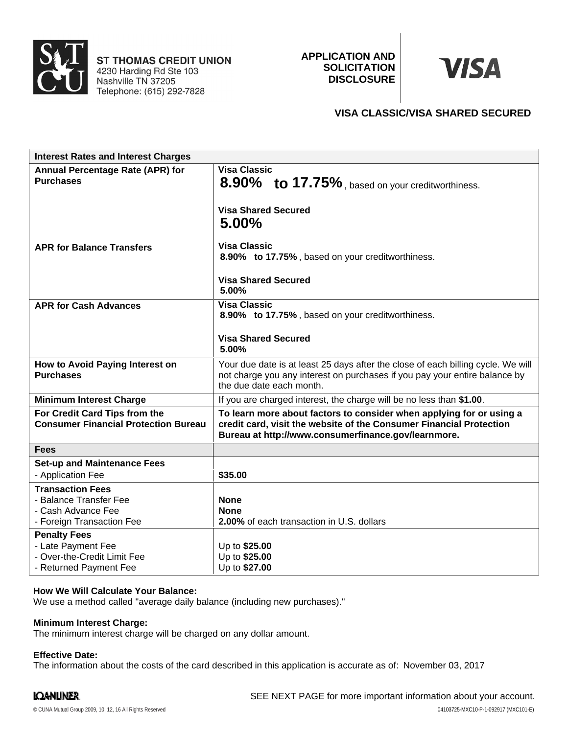

**ST THOMAS CREDIT UNION** 4230 Harding Rd Ste 103<br>Nashville TN 37205 Telephone: (615) 292-7828

**APPLICATION AND SOLICITATION DISCLOSURE**

# **VISA**

# **VISA CLASSIC/VISA SHARED SECURED**

| <b>Interest Rates and Interest Charges</b>                                                           |                                                                                                                                                                                                    |
|------------------------------------------------------------------------------------------------------|----------------------------------------------------------------------------------------------------------------------------------------------------------------------------------------------------|
| <b>Annual Percentage Rate (APR) for</b><br><b>Purchases</b>                                          | <b>Visa Classic</b><br>8.90% to 17.75%, based on your creditworthiness.<br><b>Visa Shared Secured</b><br>$5.00\%$                                                                                  |
| <b>APR for Balance Transfers</b>                                                                     | <b>Visa Classic</b><br>8.90% to 17.75%, based on your creditworthiness.<br><b>Visa Shared Secured</b><br>5.00%                                                                                     |
| <b>APR for Cash Advances</b>                                                                         | <b>Visa Classic</b><br>8.90% to 17.75%, based on your creditworthiness.<br><b>Visa Shared Secured</b><br>5.00%                                                                                     |
| How to Avoid Paying Interest on<br><b>Purchases</b>                                                  | Your due date is at least 25 days after the close of each billing cycle. We will<br>not charge you any interest on purchases if you pay your entire balance by<br>the due date each month.         |
| <b>Minimum Interest Charge</b>                                                                       | If you are charged interest, the charge will be no less than \$1.00.                                                                                                                               |
| For Credit Card Tips from the<br><b>Consumer Financial Protection Bureau</b>                         | To learn more about factors to consider when applying for or using a<br>credit card, visit the website of the Consumer Financial Protection<br>Bureau at http://www.consumerfinance.gov/learnmore. |
| <b>Fees</b>                                                                                          |                                                                                                                                                                                                    |
| <b>Set-up and Maintenance Fees</b><br>- Application Fee                                              | \$35.00                                                                                                                                                                                            |
| <b>Transaction Fees</b><br>- Balance Transfer Fee<br>- Cash Advance Fee<br>- Foreign Transaction Fee | <b>None</b><br><b>None</b><br>2.00% of each transaction in U.S. dollars                                                                                                                            |
| <b>Penalty Fees</b><br>- Late Payment Fee<br>- Over-the-Credit Limit Fee<br>- Returned Payment Fee   | Up to \$25.00<br>Up to \$25.00<br>Up to \$27.00                                                                                                                                                    |

### **How We Will Calculate Your Balance:**

We use a method called "average daily balance (including new purchases)."

#### **Minimum Interest Charge:**

The minimum interest charge will be charged on any dollar amount.

#### **Effective Date:**

The information about the costs of the card described in this application is accurate as of: November 03, 2017

## **IQANLINER.**